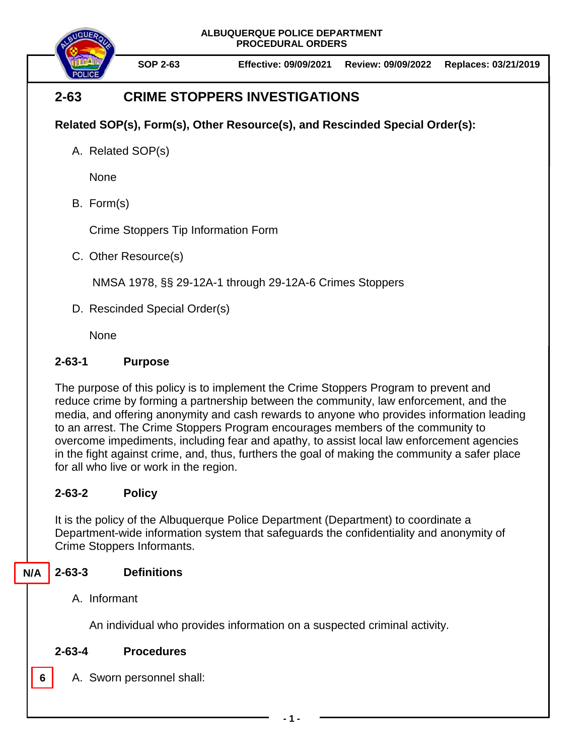**ALBUQUERQUE POLICE DEPARTMENT PROCEDURAL ORDERS**



**SOP 2-63 Effective: 09/09/2021 Review: 09/09/2022 Replaces: 03/21/2019**

# **2-63 CRIME STOPPERS INVESTIGATIONS**

**Related SOP(s), Form(s), Other Resource(s), and Rescinded Special Order(s):**

A. Related SOP(s)

None

B. Form(s)

Crime Stoppers Tip Information Form

C. Other Resource(s)

[NMSA 1978, §§ 29-12A-1 through 29-12A-6 Crimes Stoppers](https://law.justia.com/citations.html#NM%20Stat%20%C2%A7%2029-12A-1%20(1996%20through%201st%20Sess%2050th%20Legis))

D. Rescinded Special Order(s)

None

## **2-63-1 Purpose**

The purpose of this policy is to implement the Crime Stoppers Program to prevent and reduce crime by forming a partnership between the community, law enforcement, and the media, and offering anonymity and cash rewards to anyone who provides information leading to an arrest. The Crime Stoppers Program encourages members of the community to overcome impediments, including fear and apathy, to assist local law enforcement agencies in the fight against crime, and, thus, furthers the goal of making the community a safer place for all who live or work in the region.

# **2-63-2 Policy**

It is the policy of the Albuquerque Police Department (Department) to coordinate a Department-wide information system that safeguards the confidentiality and anonymity of Crime Stoppers Informants.

#### **2-63-3 Definitions N/A**

A. Informant

**6**

An individual who provides information on a suspected criminal activity.

## **2-63-4 Procedures**

A. Sworn personnel shall: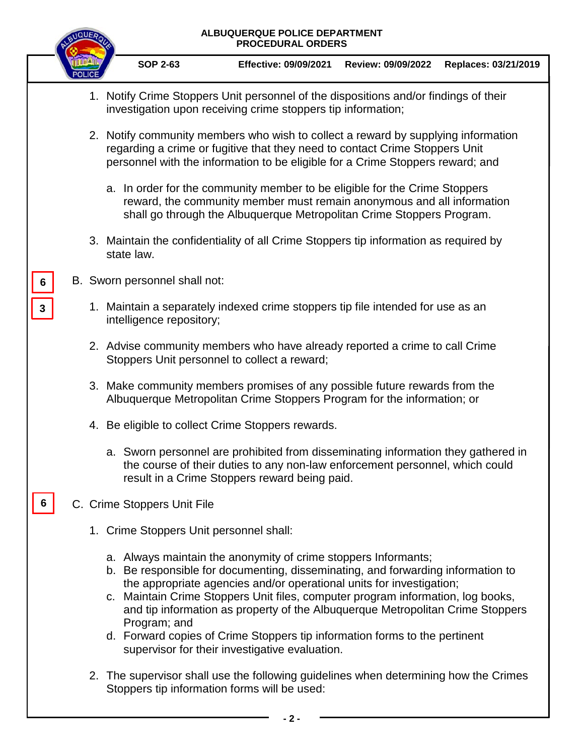